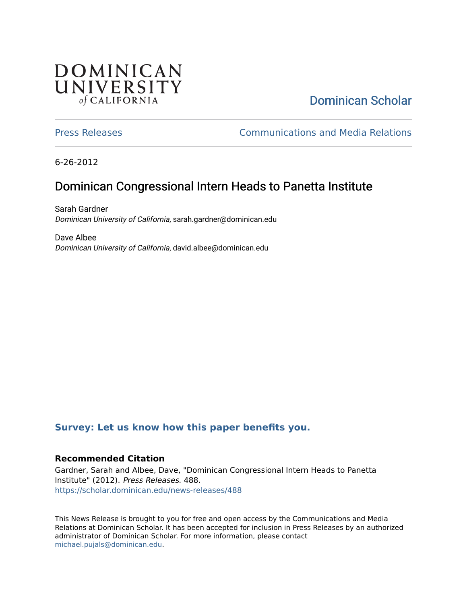# **DOMINICAN** UNIVERSITY of CALIFORNIA

# [Dominican Scholar](https://scholar.dominican.edu/)

[Press Releases](https://scholar.dominican.edu/news-releases) [Communications and Media Relations](https://scholar.dominican.edu/communications-media) 

6-26-2012

# Dominican Congressional Intern Heads to Panetta Institute

Sarah Gardner Dominican University of California, sarah.gardner@dominican.edu

Dave Albee Dominican University of California, david.albee@dominican.edu

#### **[Survey: Let us know how this paper benefits you.](https://dominican.libwizard.com/dominican-scholar-feedback)**

#### **Recommended Citation**

Gardner, Sarah and Albee, Dave, "Dominican Congressional Intern Heads to Panetta Institute" (2012). Press Releases. 488. [https://scholar.dominican.edu/news-releases/488](https://scholar.dominican.edu/news-releases/488?utm_source=scholar.dominican.edu%2Fnews-releases%2F488&utm_medium=PDF&utm_campaign=PDFCoverPages)

This News Release is brought to you for free and open access by the Communications and Media Relations at Dominican Scholar. It has been accepted for inclusion in Press Releases by an authorized administrator of Dominican Scholar. For more information, please contact [michael.pujals@dominican.edu.](mailto:michael.pujals@dominican.edu)